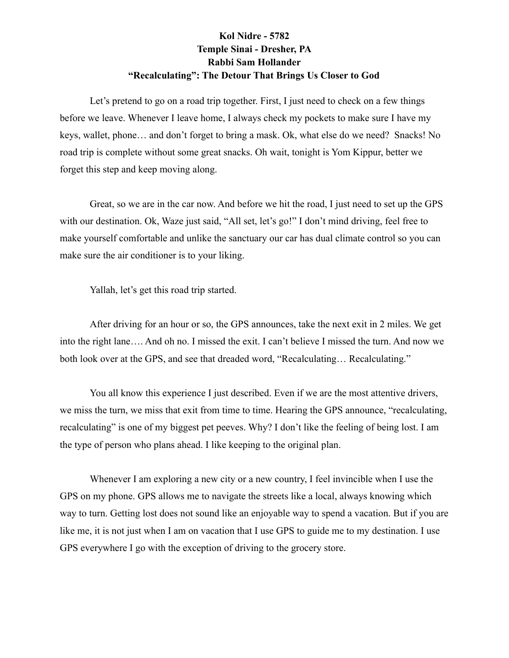## **Kol Nidre - 5782 Temple Sinai - Dresher, PA Rabbi Sam Hollander "Recalculating": The Detour That Brings Us Closer to God**

Let's pretend to go on a road trip together. First, I just need to check on a few things before we leave. Whenever I leave home, I always check my pockets to make sure I have my keys, wallet, phone… and don't forget to bring a mask. Ok, what else do we need? Snacks! No road trip is complete without some great snacks. Oh wait, tonight is Yom Kippur, better we forget this step and keep moving along.

Great, so we are in the car now. And before we hit the road, I just need to set up the GPS with our destination. Ok, Waze just said, "All set, let's go!" I don't mind driving, feel free to make yourself comfortable and unlike the sanctuary our car has dual climate control so you can make sure the air conditioner is to your liking.

Yallah, let's get this road trip started.

After driving for an hour or so, the GPS announces, take the next exit in 2 miles. We get into the right lane…. And oh no. I missed the exit. I can't believe I missed the turn. And now we both look over at the GPS, and see that dreaded word, "Recalculating... Recalculating."

You all know this experience I just described. Even if we are the most attentive drivers, we miss the turn, we miss that exit from time to time. Hearing the GPS announce, "recalculating, recalculating" is one of my biggest pet peeves. Why? I don't like the feeling of being lost. I am the type of person who plans ahead. I like keeping to the original plan.

Whenever I am exploring a new city or a new country, I feel invincible when I use the GPS on my phone. GPS allows me to navigate the streets like a local, always knowing which way to turn. Getting lost does not sound like an enjoyable way to spend a vacation. But if you are like me, it is not just when I am on vacation that I use GPS to guide me to my destination. I use GPS everywhere I go with the exception of driving to the grocery store.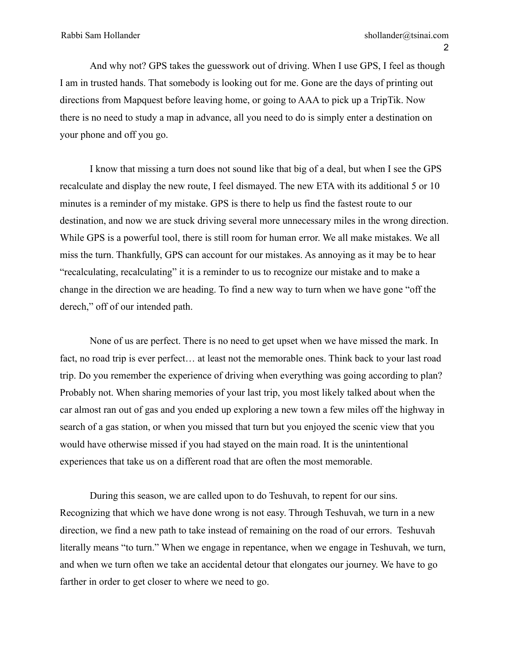And why not? GPS takes the guesswork out of driving. When I use GPS, I feel as though I am in trusted hands. That somebody is looking out for me. Gone are the days of printing out directions from Mapquest before leaving home, or going to AAA to pick up a TripTik. Now there is no need to study a map in advance, all you need to do is simply enter a destination on your phone and off you go.

I know that missing a turn does not sound like that big of a deal, but when I see the GPS recalculate and display the new route, I feel dismayed. The new ETA with its additional 5 or 10 minutes is a reminder of my mistake. GPS is there to help us find the fastest route to our destination, and now we are stuck driving several more unnecessary miles in the wrong direction. While GPS is a powerful tool, there is still room for human error. We all make mistakes. We all miss the turn. Thankfully, GPS can account for our mistakes. As annoying as it may be to hear "recalculating, recalculating" it is a reminder to us to recognize our mistake and to make a change in the direction we are heading. To find a new way to turn when we have gone "off the derech," off of our intended path.

None of us are perfect. There is no need to get upset when we have missed the mark. In fact, no road trip is ever perfect… at least not the memorable ones. Think back to your last road trip. Do you remember the experience of driving when everything was going according to plan? Probably not. When sharing memories of your last trip, you most likely talked about when the car almost ran out of gas and you ended up exploring a new town a few miles off the highway in search of a gas station, or when you missed that turn but you enjoyed the scenic view that you would have otherwise missed if you had stayed on the main road. It is the unintentional experiences that take us on a different road that are often the most memorable.

During this season, we are called upon to do Teshuvah, to repent for our sins. Recognizing that which we have done wrong is not easy. Through Teshuvah, we turn in a new direction, we find a new path to take instead of remaining on the road of our errors. Teshuvah literally means "to turn." When we engage in repentance, when we engage in Teshuvah, we turn, and when we turn often we take an accidental detour that elongates our journey. We have to go farther in order to get closer to where we need to go.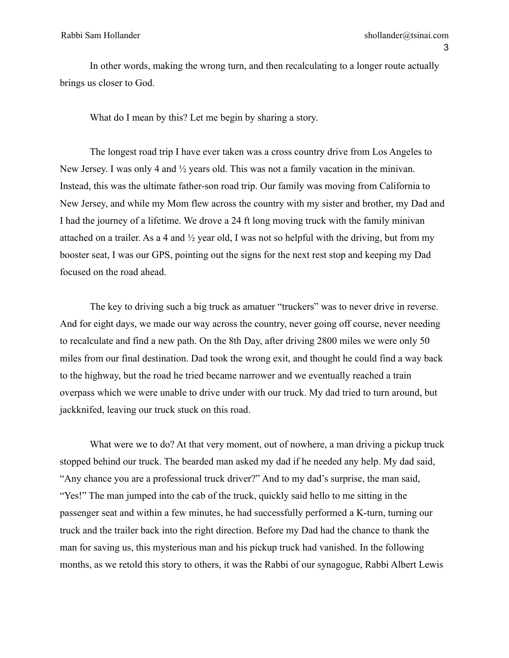In other words, making the wrong turn, and then recalculating to a longer route actually brings us closer to God.

What do I mean by this? Let me begin by sharing a story.

The longest road trip I have ever taken was a cross country drive from Los Angeles to New Jersey. I was only 4 and ½ years old. This was not a family vacation in the minivan. Instead, this was the ultimate father-son road trip. Our family was moving from California to New Jersey, and while my Mom flew across the country with my sister and brother, my Dad and I had the journey of a lifetime. We drove a 24 ft long moving truck with the family minivan attached on a trailer. As a 4 and ½ year old, I was not so helpful with the driving, but from my booster seat, I was our GPS, pointing out the signs for the next rest stop and keeping my Dad focused on the road ahead.

The key to driving such a big truck as amatuer "truckers" was to never drive in reverse. And for eight days, we made our way across the country, never going off course, never needing to recalculate and find a new path. On the 8th Day, after driving 2800 miles we were only 50 miles from our final destination. Dad took the wrong exit, and thought he could find a way back to the highway, but the road he tried became narrower and we eventually reached a train overpass which we were unable to drive under with our truck. My dad tried to turn around, but jackknifed, leaving our truck stuck on this road.

What were we to do? At that very moment, out of nowhere, a man driving a pickup truck stopped behind our truck. The bearded man asked my dad if he needed any help. My dad said, "Any chance you are a professional truck driver?" And to my dad's surprise, the man said, "Yes!" The man jumped into the cab of the truck, quickly said hello to me sitting in the passenger seat and within a few minutes, he had successfully performed a K-turn, turning our truck and the trailer back into the right direction. Before my Dad had the chance to thank the man for saving us, this mysterious man and his pickup truck had vanished. In the following months, as we retold this story to others, it was the Rabbi of our synagogue, Rabbi Albert Lewis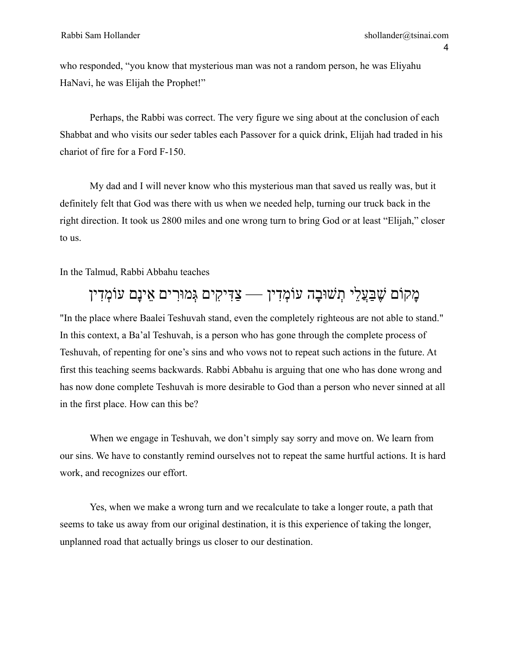who responded, "you know that mysterious man was not a random person, he was Eliyahu HaNavi, he was Elijah the Prophet!"

Perhaps, the Rabbi was correct. The very figure we sing about at the conclusion of each Shabbat and who visits our seder tables each Passover for a quick drink, Elijah had traded in his chariot of fire for a Ford F-150.

My dad and I will never know who this mysterious man that saved us really was, but it definitely felt that God was there with us when we needed help, turning our truck back in the right direction. It took us 2800 miles and one wrong turn to bring God or at least "Elijah," closer to us.

In the Talmud, Rabbi Abbahu teaches

## ָמקֹום ֶׁש ַּבֲע ֵלי ְתׁשּו ָבה עֹו ְמ ִדין — ַצ ִּדי ִקים ְּגמּו ִרים ֵאינָם עֹו ְמ ִדין

"In the place where Baalei Teshuvah stand, even the completely righteous are not able to stand." In this context, a Ba'al Teshuvah, is a person who has gone through the complete process of Teshuvah, of repenting for one's sins and who vows not to repeat such actions in the future. At first this teaching seems backwards. Rabbi Abbahu is arguing that one who has done wrong and has now done complete Teshuvah is more desirable to God than a person who never sinned at all in the first place. How can this be?

When we engage in Teshuvah, we don't simply say sorry and move on. We learn from our sins. We have to constantly remind ourselves not to repeat the same hurtful actions. It is hard work, and recognizes our effort.

Yes, when we make a wrong turn and we recalculate to take a longer route, a path that seems to take us away from our original destination, it is this experience of taking the longer, unplanned road that actually brings us closer to our destination.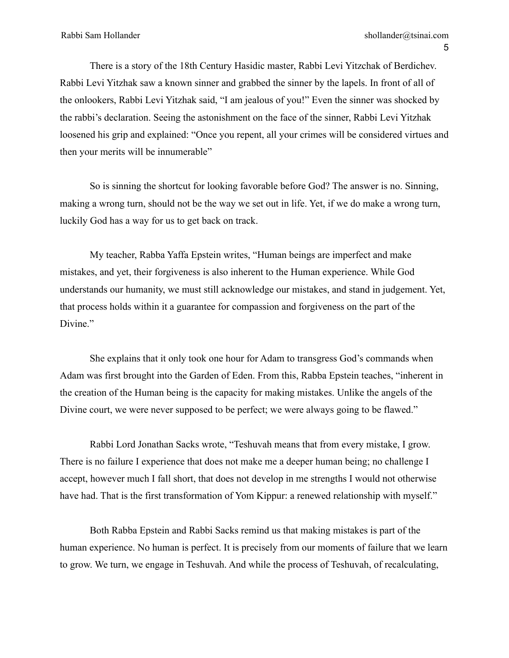There is a story of the 18th Century Hasidic master, Rabbi Levi Yitzchak of Berdichev. Rabbi Levi Yitzhak saw a known sinner and grabbed the sinner by the lapels. In front of all of the onlookers, Rabbi Levi Yitzhak said, "I am jealous of you!" Even the sinner was shocked by the rabbi's declaration. Seeing the astonishment on the face of the sinner, Rabbi Levi Yitzhak loosened his grip and explained: "Once you repent, all your crimes will be considered virtues and then your merits will be innumerable"

So is sinning the shortcut for looking favorable before God? The answer is no. Sinning, making a wrong turn, should not be the way we set out in life. Yet, if we do make a wrong turn, luckily God has a way for us to get back on track.

My teacher, Rabba Yaffa Epstein writes, "Human beings are imperfect and make mistakes, and yet, their forgiveness is also inherent to the Human experience. While God understands our humanity, we must still acknowledge our mistakes, and stand in judgement. Yet, that process holds within it a guarantee for compassion and forgiveness on the part of the Divine."

She explains that it only took one hour for Adam to transgress God's commands when Adam was first brought into the Garden of Eden. From this, Rabba Epstein teaches, "inherent in the creation of the Human being is the capacity for making mistakes. Unlike the angels of the Divine court, we were never supposed to be perfect; we were always going to be flawed."

Rabbi Lord Jonathan Sacks wrote, "Teshuvah means that from every mistake, I grow. There is no failure I experience that does not make me a deeper human being; no challenge I accept, however much I fall short, that does not develop in me strengths I would not otherwise have had. That is the first transformation of Yom Kippur: a renewed relationship with myself."

Both Rabba Epstein and Rabbi Sacks remind us that making mistakes is part of the human experience. No human is perfect. It is precisely from our moments of failure that we learn to grow. We turn, we engage in Teshuvah. And while the process of Teshuvah, of recalculating,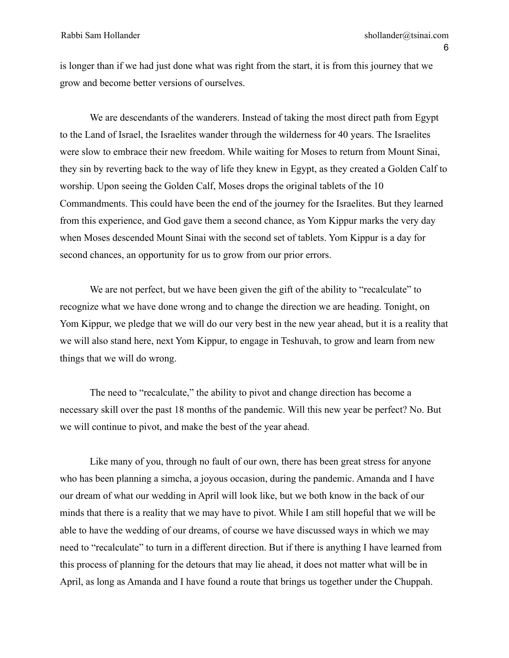is longer than if we had just done what was right from the start, it is from this journey that we grow and become better versions of ourselves.

We are descendants of the wanderers. Instead of taking the most direct path from Egypt to the Land of Israel, the Israelites wander through the wilderness for 40 years. The Israelites were slow to embrace their new freedom. While waiting for Moses to return from Mount Sinai, they sin by reverting back to the way of life they knew in Egypt, as they created a Golden Calf to worship. Upon seeing the Golden Calf, Moses drops the original tablets of the 10 Commandments. This could have been the end of the journey for the Israelites. But they learned from this experience, and God gave them a second chance, as Yom Kippur marks the very day when Moses descended Mount Sinai with the second set of tablets. Yom Kippur is a day for second chances, an opportunity for us to grow from our prior errors.

We are not perfect, but we have been given the gift of the ability to "recalculate" to recognize what we have done wrong and to change the direction we are heading. Tonight, on Yom Kippur, we pledge that we will do our very best in the new year ahead, but it is a reality that we will also stand here, next Yom Kippur, to engage in Teshuvah, to grow and learn from new things that we will do wrong.

The need to "recalculate," the ability to pivot and change direction has become a necessary skill over the past 18 months of the pandemic. Will this new year be perfect? No. But we will continue to pivot, and make the best of the year ahead.

Like many of you, through no fault of our own, there has been great stress for anyone who has been planning a simcha, a joyous occasion, during the pandemic. Amanda and I have our dream of what our wedding in April will look like, but we both know in the back of our minds that there is a reality that we may have to pivot. While I am still hopeful that we will be able to have the wedding of our dreams, of course we have discussed ways in which we may need to "recalculate" to turn in a different direction. But if there is anything I have learned from this process of planning for the detours that may lie ahead, it does not matter what will be in April, as long as Amanda and I have found a route that brings us together under the Chuppah.